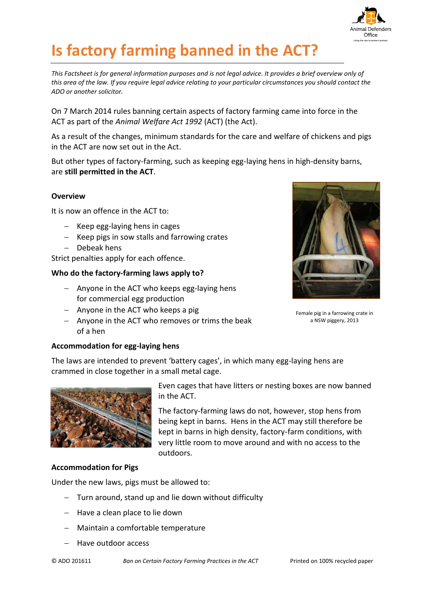

# **Is factory farming banned in the ACT?**

*This Factsheet is for general information purposes and is not legal advice. It provides a brief overview only of this area of the law. If you require legal advice relating to your particular circumstances you should contact the ADO or another solicitor.*

On 7 March 2014 rules banning certain aspects of factory farming came into force in the ACT as part of the *Animal Welfare Act 1992* (ACT) (the Act).

As a result of the changes, minimum standards for the care and welfare of chickens and pigs in the ACT are now set out in the Act.

But other types of factory-farming, such as keeping egg-laying hens in high-density barns, are **still permitted in the ACT**.

# **Overview**

It is now an offence in the ACT to:

- $-$  Keep egg-laying hens in cages
- $-$  Keep pigs in sow stalls and farrowing crates
- Debeak hens

Strict penalties apply for each offence.

# **Who do the factory-farming laws apply to?**

- $-$  Anyone in the ACT who keeps egg-laying hens for commercial egg production
- $-$  Anyone in the ACT who keeps a pig
- $-$  Anyone in the ACT who removes or trims the beak of a hen



Female pig in a farrowing crate in a NSW piggery, 2013

### **Accommodation for egg-laying hens**

The laws are intended to prevent 'battery cages', in which many egg-laying hens are crammed in close together in a small metal cage.



Even cages that have litters or nesting boxes are now banned in the ACT.

The factory-farming laws do not, however, stop hens from being kept in barns. Hens in the ACT may still therefore be kept in barns in high density, factory-farm conditions, with very little room to move around and with no access to the outdoors.

## **Accommodation for Pigs**

Under the new laws, pigs must be allowed to:

- Turn around, stand up and lie down without difficulty
- $-$  Have a clean place to lie down
- Maintain a comfortable temperature
- Have outdoor access